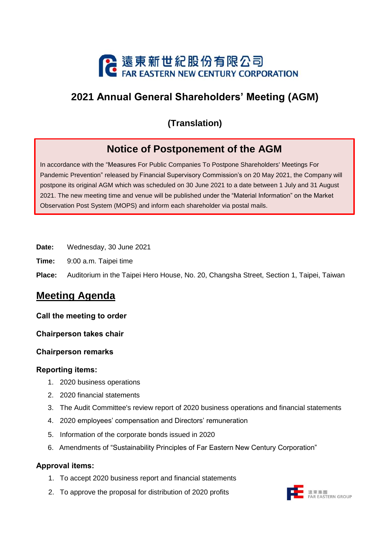

# **2021 Annual General Shareholders' Meeting (AGM)**

## **(Translation)**

# **Notice of Postponement of the AGM**

In accordance with the "Measures For Public Companies To Postpone Shareholders' Meetings For Pandemic Prevention" released by Financial Supervisory Commission's on 20 May 2021, the Company will postpone its original AGM which was scheduled on 30 June 2021 to a date between 1 July and 31 August 2021. The new meeting time and venue will be published under the "Material Information" on the Market Observation Post System (MOPS) and inform each shareholder via postal mails.

- **Date:** Wednesday, 30 June 2021
- **Time:** 9:00 a.m. Taipei time
- **Place:** Auditorium in the Taipei Hero House, No. 20, Changsha Street, Section 1, Taipei, Taiwan

## **Meeting Agenda**

#### **Call the meeting to order**

#### **Chairperson takes chair**

#### **Chairperson remarks**

#### **Reporting items:**

- 1. 2020 business operations
- 2. 2020 financial statements
- 3. The Audit Committee's review report of 2020 business operations and financial statements
- 4. 2020 employees' compensation and Directors' remuneration
- 5. Information of the corporate bonds issued in 2020
- 6. Amendments of "Sustainability Principles of Far Eastern New Century Corporation"

#### **Approval items:**

- 1. To accept 2020 business report and financial statements
- 2. To approve the proposal for distribution of 2020 profits